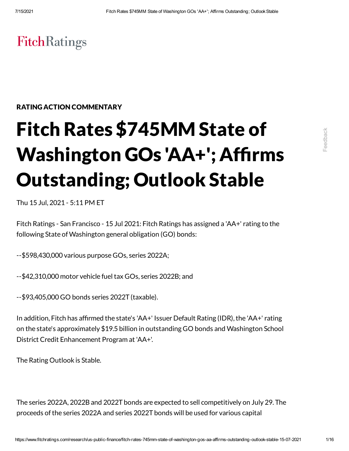# **FitchRatings**

# RATING ACTION COMMENTARY

# Fitch Rates \$745MM State of Washington GOs 'AA+'; Affirms Outstanding; Outlook Stable

Thu 15 Jul, 2021 - 5:11 PM ET

Fitch Ratings - San Francisco - 15 Jul 2021: Fitch Ratings has assigned a 'AA+' rating to the following State of Washington general obligation (GO) bonds:

--\$598,430,000 various purpose GOs, series 2022A;

--\$42,310,000 motor vehicle fuel tax GOs, series 2022B; and

--\$93,405,000 GO bonds series 2022T (taxable).

In addition, Fitch has affirmed the state's 'AA+' Issuer Default Rating (IDR), the 'AA+' rating on the state's approximately \$19.5 billion in outstanding GO bonds and Washington School District Credit Enhancement Program at 'AA+'.

The Rating Outlook is Stable.

The series 2022A, 2022B and 2022T bonds are expected to sell competitively on July 29. The proceeds ofthe series 2022A and series 2022T bonds will be used for various capital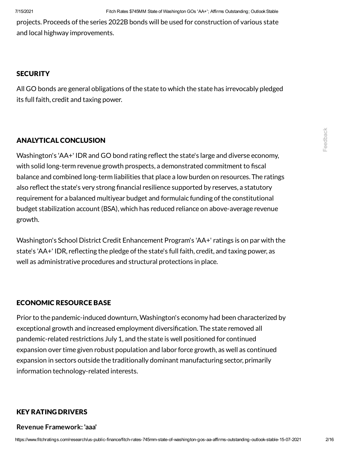projects. Proceeds of the series 2022B bonds will be used for construction of various state and local highway improvements.

#### **SECURITY**

All GO bonds are general obligations of the state to which the state has irrevocably pledged its full faith, credit and taxing power.

### ANALYTICAL CONCLUSION

Washington's 'AA+' IDR and GO bond rating reflect the state's large and diverse economy, with solid long-term revenue growth prospects, a demonstrated commitment to fiscal balance and combined long-term liabilities that place a low burden on resources. The ratings also reflect the state's very strong financial resilience supported by reserves, a statutory requirement for a balanced multiyear budget and formulaic funding of the constitutional budget stabilization account (BSA), which has reduced reliance on above-average revenue growth.

Washington's School District Credit Enhancement Program's 'AA+' ratings is on par with the state's 'AA+' IDR, reflecting the pledge of the state's full faith, credit, and taxing power, as well as administrative procedures and structural protections in place.

#### ECONOMIC RESOURCE BASE

Prior to the pandemic-induced downturn,Washington's economy had been characterized by exceptional growth and increased employment diversification. The state removed all pandemic-related restrictions July 1, and the state is well positioned for continued expansion over time given robust population and labor force growth, as well as continued expansion in sectors outside the traditionally dominant manufacturing sector, primarily information technology-related interests.

#### KEY RATING DRIVERS

#### **Revenue Framework: 'aaa'**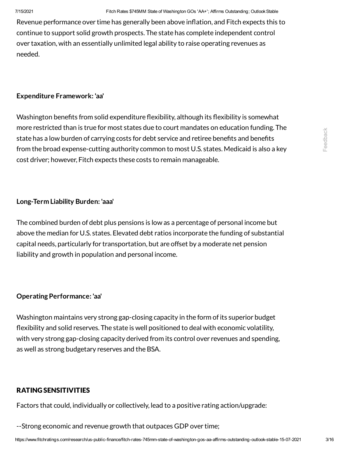Revenue performance over time has generally been above inflation, and Fitch expects this to continue to support solid growth prospects. The state has complete independent control over taxation, with an essentially unlimited legal ability to raise operating revenues as needed.

#### **Expenditure Framework: 'aa'**

Washington benefits from solid expenditure flexibility, although its flexibility is somewhat more restricted than is true for most states due to court mandates on education funding. The state has a low burden of carrying costs for debt service and retiree benefits and benefits from the broad expense-cutting authority common to most U.S. states. Medicaid is also a key cost driver; however, Fitch expects these costs to remain manageable.

#### **Long-Term Liability Burden: 'aaa'**

The combined burden of debt plus pensions is low as a percentage of personal income but above the median for U.S. states. Elevated debt ratios incorporate the funding of substantial capital needs, particularly for transportation, but are offset by a moderate net pension liability and growth in population and personal income.

#### **Operating Performance: 'aa'**

Washington maintains very strong gap-closing capacity in the form of its superior budget flexibility and solid reserves. The state is well positioned to deal with economic volatility, with very strong gap-closing capacity derived from its control over revenues and spending, as well as strong budgetary reserves and the BSA.

#### RATING SENSITIVITIES

Factors that could, individually or collectively, lead to a positive rating action/upgrade:

--Strong economic and revenue growth that outpaces GDP over time;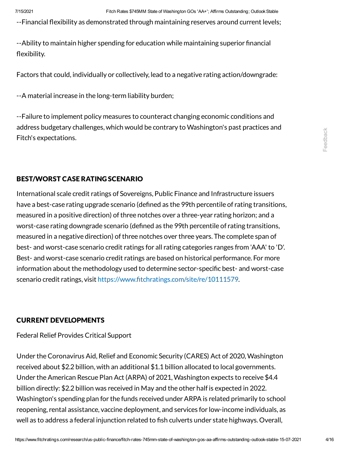--Financial flexibility as demonstrated through maintaining reserves around current levels;

--Ability to maintain higher spending for education while maintaining superior financial flexibility.

Factors that could, individually or collectively, lead to a negative rating action/downgrade:

--A material increase in the long-term liability burden;

--Failure to implement policy measures to counteract changing economic conditions and address budgetary challenges, which would be contrary to Washington's past practices and Fitch's expectations.

# BEST/WORST CASE RATING SCENARIO

International scale credit ratings of Sovereigns, Public Finance and Infrastructure issuers have a best-case rating upgrade scenario (defined as the 99th percentile of rating transitions, measured in a positive direction) of three notches over a three-year rating horizon; and a worst-case rating downgrade scenario (defined as the 99th percentile of rating transitions, measured in a negative direction) of three notches over three years. The complete span of best- and worst-case scenario credit ratings for all rating categories ranges from 'AAA' to 'D'. Best- and worst-case scenario credit ratings are based on historical performance. For more information about the methodology used to determine sector-specific best- and worst-case scenario credit ratings, visit <https://www.fitchratings.com/site/re/10111579>.

# CURRENT DEVELOPMENTS

Federal Relief Provides Critical Support

Under the Coronavirus Aid, Relief and Economic Security (CARES) Act of 2020, Washington received about \$2.2 billion, with an additional \$1.1 billion allocated to local governments. Under the American Rescue Plan Act (ARPA) of 2021, Washington expects to receive \$4.4 billion directly: \$2.2 billion was received in May and the other half is expected in 2022. Washington's spending plan for the funds received under ARPA is related primarily to school reopening, rental assistance, vaccine deployment, and services for low-income individuals, as well as to address a federal injunction related to fish culverts under state highways. Overall,

Feedback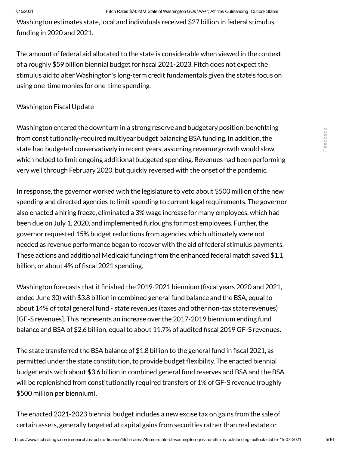Washington estimates state, local and individuals received \$27 billion in federal stimulus funding in 2020 and 2021.

The amount of federal aid allocated to the state is considerable when viewed in the context of a roughly \$59 billion biennial budget for fiscal 2021-2023. Fitch does not expect the stimulus aid to alter Washington's long-term credit fundamentals given the state's focus on using one-time monies for one-time spending.

# Washington Fiscal Update

Washington entered the downturn in a strong reserve and budgetary position, benefitting from constitutionally-required multiyear budget balancing BSA funding. In addition,the state had budgeted conservatively in recent years, assuming revenue growth would slow, which helped to limit ongoing additional budgeted spending. Revenues had been performing very well through February 2020, but quickly reversed with the onset of the pandemic.

In response, the governor worked with the legislature to veto about \$500 million of the new spending and directed agencies to limit spending to current legal requirements. The governor also enacted a hiring freeze, eliminated a 3% wage increase for many employees, which had been due on July 1, 2020, and implemented furloughs for most employees. Further, the governor requested 15% budget reductions from agencies, which ultimately were not needed as revenue performance began to recover with the aid of federal stimulus payments. These actions and additional Medicaid funding from the enhanced federal match saved \$1.1 billion, or about 4% of fiscal 2021 spending.

Washington forecasts that it finished the 2019-2021 biennium (fiscal years 2020 and 2021, ended June 30) with \$3.8 billion in combined general fund balance and the BSA, equal to about 14% of total general fund - state revenues (taxes and other non-tax state revenues) [GF-S revenues]. This represents an increase over the 2017-2019 biennium ending fund balance and BSA of \$2.6 billion, equal to about 11.7% of audited fiscal 2019 GF-S revenues.

The state transferred the BSA balance of \$1.8 billion to the general fund in fiscal 2021, as permitted under the state constitution, to provide budget flexibility. The enacted biennial budget ends with about \$3.6 billion in combined general fund reserves and BSA and the BSA will be replenished from constitutionally required transfers of 1% of GF-S revenue (roughly \$500 million per biennium).

The enacted 2021-2023 biennial budget includes a new excise tax on gains from the sale of certain assets, generally targeted at capital gains from securities rather than real estate or

Feedback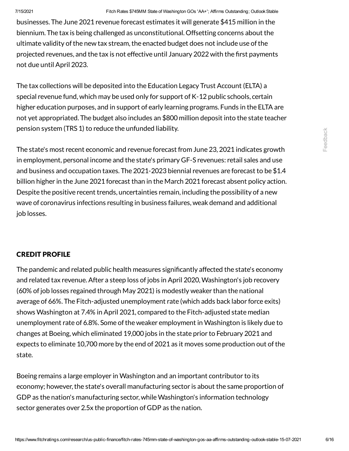businesses. The June 2021 revenue forecast estimates it will generate \$415 million in the biennium. The tax is being challenged as unconstitutional. Offsetting concerns about the ultimate validity of the new tax stream, the enacted budget does not include use of the projected revenues, and the tax is not effective until January 2022 with the first payments not due until April 2023.

The tax collections will be deposited into the Education Legacy Trust Account (ELTA) a special revenue fund, which may be used only for support of K-12 public schools, certain higher education purposes, and in support of early learning programs. Funds in the ELTA are not yet appropriated. The budget also includes an \$800 million deposit into the state teacher pension system (TRS 1) to reduce the unfunded liability.

The state's most recent economic and revenue forecast from June 23, 2021 indicates growth in employment, personal income and the state's primary GF-S revenues: retail sales and use and business and occupation taxes. The 2021-2023 biennial revenues are forecast to be \$1.4 billion higher in the June 2021 forecast than in the March 2021 forecast absent policy action. Despite the positive recent trends, uncertainties remain, including the possibility of a new wave of coronavirus infections resulting in business failures, weak demand and additional job losses.

#### CREDIT PROFILE

The pandemic and related public health measures significantly affected the state's economy and related tax revenue. After a steep loss of jobs in April 2020, Washington's job recovery (60% ofjob losses regained through May 2021) is modestly weaker than the national average of 66%. The Fitch-adjusted unemployment rate (which adds back labor force exits) shows Washington at 7.4% in April 2021, compared to the Fitch-adjusted state median unemployment rate of 6.8%. Some of the weaker employment in Washington is likely due to changes at Boeing, which eliminated 19,000 jobs in the state prior to February 2021 and expects to eliminate 10,700 more by the end of 2021 as it moves some production out of the state.

Boeing remains a large employer in Washington and an important contributor to its economy; however, the state's overall manufacturing sector is about the same proportion of GDP as the nation's manufacturing sector, while Washington's information technology sector generates over 2.5x the proportion of GDP as the nation.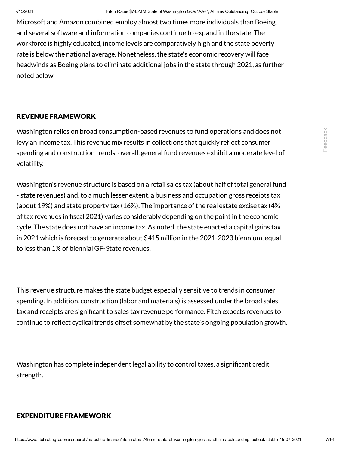Microsoft and Amazon combined employ almost two times more individuals than Boeing, and several software and information companies continue to expand in the state. The workforce is highly educated, income levels are comparatively high and the state poverty rate is below the national average. Nonetheless, the state's economic recovery will face headwinds as Boeing plans to eliminate additional jobs in the state through 2021, as further noted below.

#### REVENUE FRAMEWORK

Washington relies on broad consumption-based revenues to fund operations and does not levy an income tax. This revenue mix results in collections that quickly reflect consumer spending and construction trends; overall, general fund revenues exhibit a moderate level of volatility.

Washington's revenue structure is based on a retail sales tax (about half of total general fund - state revenues) and, to a much lesser extent, a business and occupation gross receipts tax (about 19%) and state property tax (16%). The importance of the real estate excise tax (4% oftax revenues in fiscal 2021) varies considerably depending on the point in the economic cycle. The state does not have an income tax. As noted, the state enacted a capital gains tax in 2021 which is forecast to generate about \$415 million in the 2021-2023 biennium, equal to less than 1% of biennial GF-State revenues.

This revenue structure makes the state budget especially sensitive to trends in consumer spending. In addition, construction (labor and materials) is assessed under the broad sales tax and receipts are significant to sales tax revenue performance. Fitch expects revenues to continue to reflect cyclical trends offset somewhat by the state's ongoing population growth.

Washington has complete independent legal ability to control taxes, a significant credit strength.

#### EXPENDITURE FRAMEWORK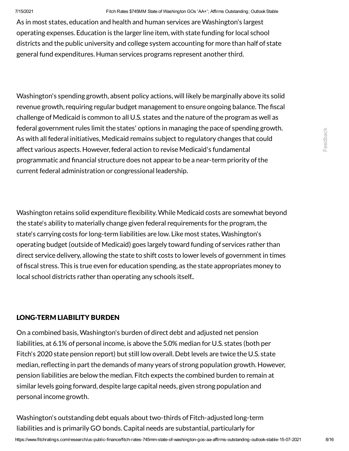As in most states, education and health and human services are Washington's largest operating expenses. Education is the larger line item, with state funding for local school districts and the public university and college system accounting for more than half of state general fund expenditures. Human services programs represent another third.

Washington's spending growth, absent policy actions, will likely be marginally above its solid revenue growth, requiring regular budget management to ensure ongoing balance. The fiscal challenge of Medicaid is common to all U.S. states and the nature of the program as well as federal government rules limit the states' options in managing the pace of spending growth. As with all federal initiatives, Medicaid remains subject to regulatory changes that could affect various aspects. However, federal action to revise Medicaid's fundamental programmatic and financial structure does not appear to be a near-term priority ofthe current federal administration or congressional leadership.

Washington retains solid expenditure flexibility.While Medicaid costs are somewhat beyond the state's ability to materially change given federal requirements for the program, the state's carrying costs for long-term liabilities are low. Like most states,Washington's operating budget (outside of Medicaid) goes largely toward funding of services rather than direct service delivery, allowing the state to shift costs to lower levels of government in times of fiscal stress. This is true even for education spending, as the state appropriates money to local school districts rather than operating any schools itself..

#### LONG-TERM LIABILITY BURDEN

On a combined basis,Washington's burden of direct debt and adjusted net pension liabilities, at 6.1% of personal income, is above the 5.0% median for U.S. states (both per Fitch's 2020 state pension report) but still low overall. Debt levels are twice the U.S. state median, reflecting in part the demands of many years of strong population growth. However, pension liabilities are below the median. Fitch expects the combined burden to remain at similar levels going forward, despite large capital needs, given strong population and personal income growth.

Washington's outstanding debt equals about two-thirds of Fitch-adjusted long-term liabilities and is primarily GO bonds.Capital needs are substantial, particularly for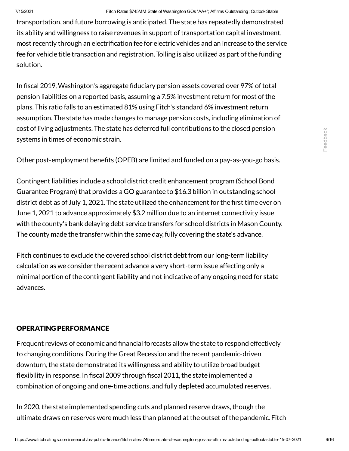transportation, and future borrowing is anticipated. The state has repeatedly demonstrated its ability and willingness to raise revenues in support of transportation capital investment, most recently through an electrification fee for electric vehicles and an increase to the service fee for vehicle title transaction and registration. Tolling is also utilized as part of the funding solution.

In fiscal 2019, Washington's aggregate fiduciary pension assets covered over 97% of total pension liabilities on a reported basis, assuming a 7.5% investment return for most of the plans. This ratio falls to an estimated 81% using Fitch's standard 6% investment return assumption. The state has made changes to manage pension costs, including elimination of cost of living adjustments. The state has deferred full contributions to the closed pension systems in times of economic strain.

Other post-employment benefits (OPEB) are limited and funded on a pay-as-you-go basis.

Contingent liabilities include a school district credit enhancement program (School Bond Guarantee Program) that provides a GO guarantee to \$16.3 billion in outstanding school district debt as of July 1, 2021. The state utilized the enhancement for the first time ever on June 1, 2021 to advance approximately \$3.2 million due to an internet connectivity issue with the county's bank delaying debt service transfers for school districts in Mason County. The county made the transfer within the same day, fully covering the state's advance.

Fitch continues to exclude the covered school district debt from our long-term liability calculation as we consider the recent advance a very short-term issue affecting only a minimal portion ofthe contingent liability and not indicative of any ongoing need for state advances.

#### OPERATING PERFORMANCE

Frequent reviews of economic and financial forecasts allow the state to respond effectively to changing conditions. During the Great Recession and the recent pandemic-driven downturn, the state demonstrated its willingness and ability to utilize broad budget flexibility in response. In fiscal 2009 through fiscal 2011, the state implemented a combination of ongoing and one-time actions, and fully depleted accumulated reserves.

In 2020, the state implemented spending cuts and planned reserve draws, though the ultimate draws on reserves were much less than planned at the outset ofthe pandemic. Fitch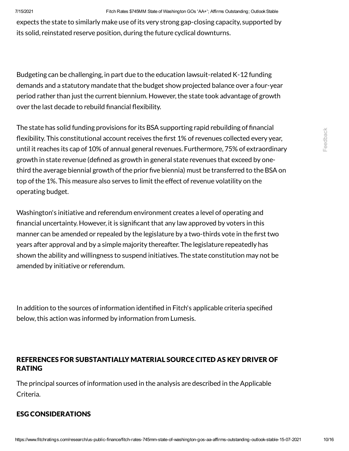expects the state to similarly make use of its very strong gap-closing capacity, supported by its solid, reinstated reserve position, during the future cyclical downturns.

Budgeting can be challenging, in part due to the education lawsuit-related K-12 funding demands and a statutory mandate that the budget show projected balance over a four-year period rather than just the current biennium. However, the state took advantage of growth over the last decade to rebuild financial flexibility.

The state has solid funding provisions for its BSA supporting rapid rebuilding of financial flexibility. This constitutional account receives the first 1% of revenues collected every year, until it reaches its cap of 10% of annual general revenues. Furthermore, 75% of extraordinary growth in state revenue (defined as growth in general state revenues that exceed by onethird the average biennial growth of the prior five biennia) must be transferred to the BSA on top ofthe 1%. This measure also serves to limit the effect of revenue volatility on the operating budget.

Washington's initiative and referendum environment creates a level of operating and financial uncertainty. However, it is significant that any law approved by voters in this manner can be amended or repealed by the legislature by a two-thirds vote in the first two years after approval and by a simple majority thereafter. The legislature repeatedly has shown the ability and willingness to suspend initiatives. The state constitution may not be amended by initiative or referendum.

In addition to the sources of information identified in Fitch's applicable criteria specified below, this action was informed by information from Lumesis.

# REFERENCES FOR SUBSTANTIALLY MATERIAL SOURCE CITED AS KEY DRIVER OF RATING

The principal sources of information used in the analysis are described in the Applicable Criteria.

# ESG CONSIDERATIONS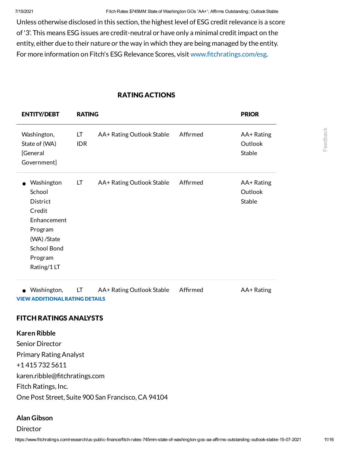Unless otherwise disclosed in this section, the highest level of ESG credit relevance is a score of'3'. This means ESG issues are credit-neutral or have only a minimal credit impact on the entity, either due to their nature or the way in which they are being managed by the entity. For more information on Fitch's ESG Relevance Scores, visit [www.fitchratings.com/esg.](http://www.fitchratings.com/esg)

# RATING ACTIONS

| <b>ENTITY/DEBT</b>                                                                                                                        | <b>RATING</b>    |                           |          | <b>PRIOR</b>                    |
|-------------------------------------------------------------------------------------------------------------------------------------------|------------------|---------------------------|----------|---------------------------------|
| Washington,<br>State of (WA)<br>[General<br>Government]                                                                                   | LT<br><b>IDR</b> | AA+ Rating Outlook Stable | Affirmed | AA+ Rating<br>Outlook<br>Stable |
| Washington<br>School<br><b>District</b><br>Credit<br>Enhancement<br>Program<br>(WA) /State<br><b>School Bond</b><br>Program<br>Rating/1LT | LT               | AA+ Rating Outlook Stable | Affirmed | AA+ Rating<br>Outlook<br>Stable |
| Affirmed<br>$\bullet$ Washington,<br>LT<br>AA+ Rating Outlook Stable<br>AA+ Rating<br><b>VIEW ADDITIONAL RATING DETAILS</b>               |                  |                           |          |                                 |
| <b>FITCH RATINGS ANALYSTS</b>                                                                                                             |                  |                           |          |                                 |
|                                                                                                                                           |                  |                           |          |                                 |

**Karen Ribble** Senior Director Primary Rating Analyst +1 415 732 5611 karen.ribble@fitchratings.com Fitch Ratings, Inc. One Post Street, Suite 900 San Francisco,CA 94104

# **Alan Gibson**

Director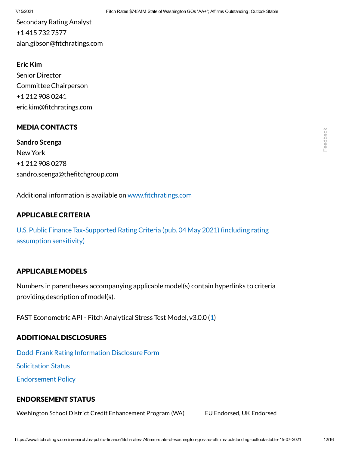Secondary Rating Analyst +1 415 732 7577 alan.gibson@fitchratings.com

**Eric Kim** Senior Director CommitteeChairperson +1 212 908 0241 eric.kim@fitchratings.com

### MEDIA CONTACTS

**Sandro Scenga** New York +1 212 908 0278 sandro.scenga@thefitchgroup.com

Additional information is available on [www.fitchratings.com](http://www.fitchratings.com/)

#### APPLICABLE CRITERIA

U.S. Public Finance [Tax-Supported](https://www.fitchratings.com/research/us-public-finance/us-public-finance-tax-supported-rating-criteria-04-05-2021) Rating Criteria (pub. 04 May 2021) (including rating assumption sensitivity)

#### APPLICABLE MODELS

Numbers in parentheses accompanying applicable model(s) contain hyperlinks to criteria providing description of model(s).

FAST EconometricAPI - Fitch Analytical Stress Test Model, v3.0.0 ([1\)](https://www.fitchratings.com/research/us-public-finance/us-public-finance-tax-supported-rating-criteria-04-05-2021)

#### ADDITIONAL DISCLOSURES

[Dodd-Frank](https://www.fitchratings.com/research/us-public-finance/fitch-rates-745mm-state-of-washington-gos-aa-affirms-outstanding-outlook-stable-15-07-2021/dodd-frank-disclosure) Rating Information Disclosure Form

Solicitation Status

[Endorsement](#page-14-0) Policy

#### ENDORSEMENT STATUS

Washington School District Credit Enhancement Program (WA) EU Endorsed, UK Endorsed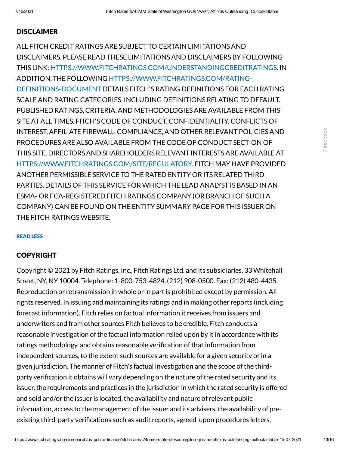#### DISCLAIMER

ALL FITCH CREDITRATINGSARE SUBJECT TO CERTAIN LIMITATIONSAND DISCLAIMERS. PLEASE READ THESE LIMITATIONSAND DISCLAIMERSBY FOLLOWING THIS LINK: [HTTPS://WWW.FITCHRATINGS.COM/UNDERSTANDINGCREDITRATINGS.](https://www.fitchratings.com/UNDERSTANDINGCREDITRATINGS) IN ADDITION, THE FOLLOWING [HTTPS://WWW.FITCHRATINGS.COM/RATING-](https://www.fitchratings.com/rating-definitions-document)DEFINITIONS-DOCUMENT DETAILS FITCH'SRATING DEFINITIONS FOR EACH RATING SCALEAND RATING CATEGORIES, INCLUDING DEFINITIONSRELATING TO DEFAULT. PUBLISHED RATINGS, CRITERIA, AND METHODOLOGIES ARE AVAILABLE FROM THIS SITEATALL TIMES. FITCH'SCODE OF CONDUCT,CONFIDENTIALITY,CONFLICTSOF INTEREST,AFFILIATE FIREWALL,COMPLIANCE,AND OTHER RELEVANT POLICIESAND PROCEDURESAREALSO AVAILABLE FROM THECODE OF CONDUCT SECTION OF THIS SITE. DIRECTORSAND SHAREHOLDERSRELEVANT INTERESTSAREAVAILABLEAT [HTTPS://WWW.FITCHRATINGS.COM/SITE/REGULATORY](https://www.fitchratings.com/site/regulatory). FITCH MAY HAVE PROVIDED ANOTHER PERMISSIBLE SERVICE TO THE RATED ENTITY OR ITSRELATED THIRD PARTIES. DETAILS OF THIS SERVICE FOR WHICH THE LEAD ANALYST IS BASED IN AN ESMA- OR FCA-REGISTERED FITCH RATINGSCOMPANY (OR BRANCH OF SUCH A COMPANY) CAN BE FOUND ON THE ENTITY SUMMARY PAGE FOR THIS ISSUER ON THE FITCH RATINGSWEBSITE.

#### READ LESS

#### COPYRIGHT

Copyright © 2021 by Fitch Ratings, Inc., Fitch Ratings Ltd. and its subsidiaries. 33 Whitehall Street, NY, NY 10004. Telephone: 1-800-753-4824, (212) 908-0500. Fax: (212) 480-4435. Reproduction or retransmission in whole or in part is prohibited except by permission.All rights reserved. In issuing and maintaining its ratings and in making other reports (including forecast information), Fitch relies on factual information it receives from issuers and underwriters and from other sources Fitch believes to be credible. Fitch conducts a reasonable investigation of the factual information relied upon by it in accordance with its ratings methodology, and obtains reasonable verification ofthat information from independent sources, to the extent such sources are available for a given security or in a given jurisdiction. The manner of Fitch's factual investigation and the scope ofthe thirdparty verification it obtains will vary depending on the nature ofthe rated security and its issuer, the requirements and practices in the jurisdiction in which the rated security is offered and sold and/or the issuer is located, the availability and nature of relevant public information, access to the management of the issuer and its advisers, the availability of preexisting third-party verifications such as audit reports, agreed-upon procedures letters,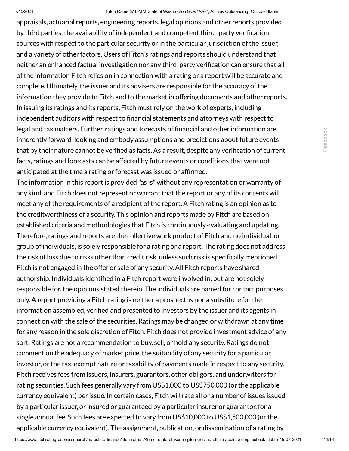appraisals, actuarial reports, engineering reports, legal opinions and other reports provided by third parties, the availability of independent and competent third- party verification sources with respect to the particular security or in the particular jurisdiction of the issuer, and a variety of other factors. Users of Fitch's ratings and reports should understand that neither an enhanced factual investigation nor any third-party verification can ensure that all ofthe information Fitch relies on in connection with a rating or a report will be accurate and complete. Ultimately, the issuer and its advisers are responsible for the accuracy of the information they provide to Fitch and to the market in offering documents and other reports. In issuing its ratings and its reports, Fitch must rely on the work of experts, including independent auditors with respect to financial statements and attorneys with respect to legal and tax matters. Further, ratings and forecasts of financial and other information are inherently forward-looking and embody assumptions and predictions about future events that by their nature cannot be verified as facts.As a result, despite any verification of current facts, ratings and forecasts can be affected by future events or conditions that were not anticipated at the time a rating or forecast was issued or affirmed.

The information in this report is provided "as is" without any representation or warranty of any kind, and Fitch does not represent or warrant that the report or any of its contents will meet any of the requirements of a recipient of the report. A Fitch rating is an opinion as to the creditworthiness of a security. This opinion and reports made by Fitch are based on established criteria and methodologies that Fitch is continuously evaluating and updating. Therefore, ratings and reports are the collective work product of Fitch and no individual, or group ofindividuals, is solely responsible for a rating or a report. The rating does not address the risk ofloss due to risks other than credit risk, unless such risk is specifically mentioned. Fitch is not engaged in the offer or sale of any security.All Fitch reports have shared authorship. Individuals identified in a Fitch report were involved in, but are not solely responsible for, the opinions stated therein. The individuals are named for contact purposes only.A report providing a Fitch rating is neither a prospectus nor a substitute for the information assembled, verified and presented to investors by the issuer and its agents in connection with the sale of the securities. Ratings may be changed or withdrawn at any time for any reason in the sole discretion of Fitch. Fitch does not provide investment advice of any sort. Ratings are not a recommendation to buy, sell, or hold any security. Ratings do not comment on the adequacy of market price, the suitability of any security for a particular investor, or the tax-exempt nature or taxability of payments made in respect to any security. Fitch receives fees from issuers, insurers, guarantors, other obligors, and underwriters for rating securities. Such fees generally vary from US\$1,000 to US\$750,000 (or the applicable currency equivalent) per issue. In certain cases, Fitch will rate all or a number of issues issued by a particular issuer, or insured or guaranteed by a particular insurer or guarantor,for a single annual fee. Such fees are expected to vary from US\$10,000 to US\$1,500,000 (or the applicable currency equivalent). The assignment, publication, or dissemination of a rating by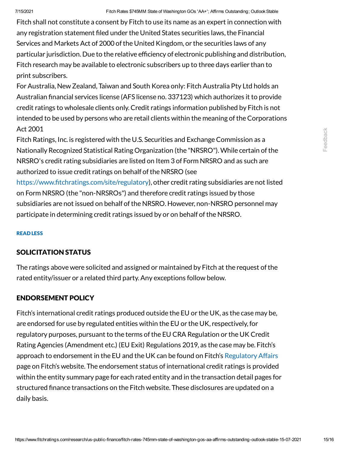Fitch shall not constitute a consent by Fitch to use its name as an expert in connection with any registration statement filed under the United States securities laws, the Financial Services and Markets Act of 2000 of the United Kingdom, or the securities laws of any particular jurisdiction. Due to the relative efficiency of electronic publishing and distribution, Fitch research may be available to electronic subscribers up to three days earlier than to print subscribers.

For Australia, New Zealand, Taiwan and South Korea only: Fitch Australia Pty Ltd holds an Australian financial services license (AFS license no. 337123) which authorizes it to provide credit ratings to wholesale clients only.Credit ratings information published by Fitch is not intended to be used by persons who are retail clients within the meaning of the Corporations Act 2001

Fitch Ratings, Inc. is registered with the U.S. Securities and Exchange Commission as a Nationally Recognized Statistical Rating Organization (the "NRSRO").While certain ofthe NRSRO's credit rating subsidiaries are listed on Item 3 of Form NRSRO and as such are authorized to issue credit ratings on behalf of the NRSRO (see

[https://www.fitchratings.com/site/regulatory\)](https://www.fitchratings.com/site/regulatory), other credit rating subsidiaries are not listed on Form NRSRO (the "non-NRSROs") and therefore credit ratings issued by those subsidiaries are not issued on behalf of the NRSRO. However, non-NRSRO personnel may participate in determining credit ratings issued by or on behalf ofthe NRSRO.

#### READ LESS

#### SOLICITATION STATUS

The ratings above were solicited and assigned or maintained by Fitch at the request of the rated entity/issuer or a related third party.Any exceptions follow below.

#### <span id="page-14-0"></span>ENDORSEMENT POLICY

Fitch's international credit ratings produced outside the EU or the UK, as the case may be, are endorsed for use by regulated entities within the EU or the UK, respectively,for regulatory purposes, pursuant to the terms of the EU CRA Regulation or the UK Credit Rating Agencies (Amendment etc.) (EU Exit) Regulations 2019, as the case may be. Fitch's approach to endorsement in the EU and the UK can be found on Fitch's [Regulatory](https://www.fitchratings.com/regulatory) Affairs page on Fitch's website. The endorsement status ofinternational credit ratings is provided within the entity summary page for each rated entity and in the transaction detail pages for structured finance transactions on the Fitch website. These disclosures are updated on a daily basis.